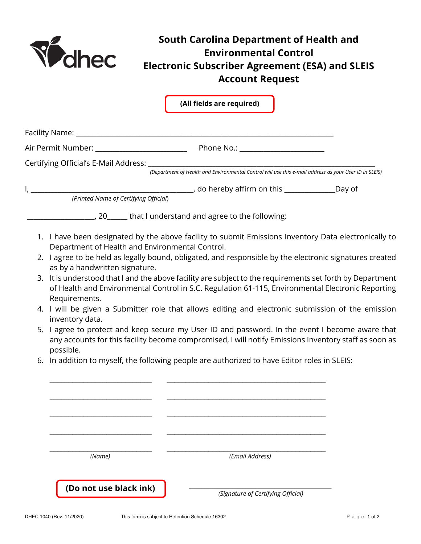

## **South Carolina Department of Health and Environmental Control Electronic Subscriber Agreement (ESA) and SLEIS Account Request**

|  |                                                                                                                                                                                                                       | (All fields are required)                                                                                                                                                                                      |  |  |
|--|-----------------------------------------------------------------------------------------------------------------------------------------------------------------------------------------------------------------------|----------------------------------------------------------------------------------------------------------------------------------------------------------------------------------------------------------------|--|--|
|  |                                                                                                                                                                                                                       |                                                                                                                                                                                                                |  |  |
|  |                                                                                                                                                                                                                       |                                                                                                                                                                                                                |  |  |
|  |                                                                                                                                                                                                                       | Certifying Official's E-Mail Address: <i>(Department of Health and Environmental Control will use this e-mail address as your User ID in SLEIS</i> )                                                           |  |  |
|  |                                                                                                                                                                                                                       |                                                                                                                                                                                                                |  |  |
|  |                                                                                                                                                                                                                       |                                                                                                                                                                                                                |  |  |
|  | (Printed Name of Certifying Official)                                                                                                                                                                                 |                                                                                                                                                                                                                |  |  |
|  |                                                                                                                                                                                                                       | _____________, 20______ that I understand and agree to the following:                                                                                                                                          |  |  |
|  | Department of Health and Environmental Control.                                                                                                                                                                       | 1. I have been designated by the above facility to submit Emissions Inventory Data electronically to                                                                                                           |  |  |
|  | 2. I agree to be held as legally bound, obligated, and responsible by the electronic signatures created<br>as by a handwritten signature.                                                                             |                                                                                                                                                                                                                |  |  |
|  | Requirements.                                                                                                                                                                                                         | 3. It is understood that I and the above facility are subject to the requirements set forth by Department<br>of Health and Environmental Control in S.C. Regulation 61-115, Environmental Electronic Reporting |  |  |
|  | 4. I will be given a Submitter role that allows editing and electronic submission of the emission<br>inventory data.                                                                                                  |                                                                                                                                                                                                                |  |  |
|  | 5. I agree to protect and keep secure my User ID and password. In the event I become aware that<br>any accounts for this facility become compromised, I will notify Emissions Inventory staff as soon as<br>possible. |                                                                                                                                                                                                                |  |  |
|  | 6. In addition to myself, the following people are authorized to have Editor roles in SLEIS:                                                                                                                          |                                                                                                                                                                                                                |  |  |
|  |                                                                                                                                                                                                                       |                                                                                                                                                                                                                |  |  |
|  |                                                                                                                                                                                                                       |                                                                                                                                                                                                                |  |  |
|  |                                                                                                                                                                                                                       |                                                                                                                                                                                                                |  |  |
|  |                                                                                                                                                                                                                       |                                                                                                                                                                                                                |  |  |
|  |                                                                                                                                                                                                                       |                                                                                                                                                                                                                |  |  |
|  | (Name)                                                                                                                                                                                                                | (Email Address)                                                                                                                                                                                                |  |  |
|  |                                                                                                                                                                                                                       |                                                                                                                                                                                                                |  |  |
|  | (Do not use black ink)                                                                                                                                                                                                | (Signature of Certifying Official)                                                                                                                                                                             |  |  |